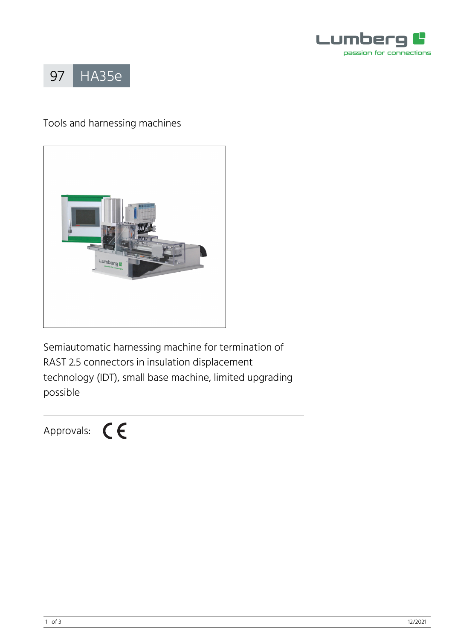



# Tools and harnessing machines



Semiautomatic harnessing machine for termination of RAST 2.5 connectors in insulation displacement technology (IDT), small base machine, limited upgrading possible

Approvals:  $\mathsf{C}\boldsymbol{\epsilon}$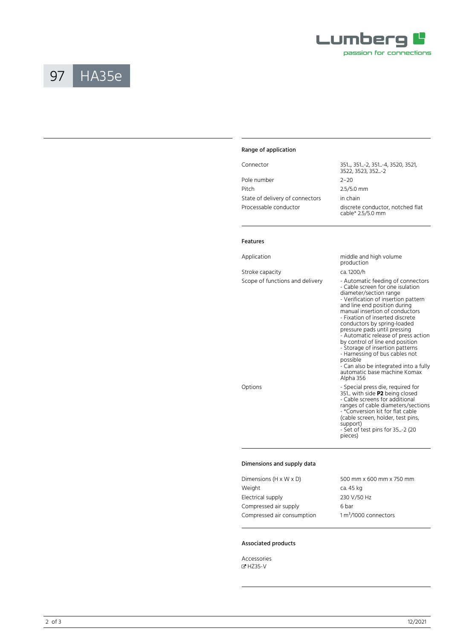



## Range of application

|                                 | <u> JJI, JJI 2, JJI 구, JJZU, JJZI, </u><br>3522, 3523, 352, -2 |  |
|---------------------------------|----------------------------------------------------------------|--|
| Pole number                     | $2 - 20$                                                       |  |
| Pitch                           | $2.5/5.0$ mm                                                   |  |
| State of delivery of connectors | in chain                                                       |  |
| Processable conductor           | discrete conductor, notched flat<br>cable* 2.5/5.0 mm          |  |

Connector 351..., 351...-2, 351...-4, 3520, 3521, 3522, 3523, 352...-2 cable\* 2.5/5.0 mm

#### Features

| Application                     | middle and high volume<br>production                                                                                                                                                                                                                                                                                                                                                                                                                                                                                                                        |
|---------------------------------|-------------------------------------------------------------------------------------------------------------------------------------------------------------------------------------------------------------------------------------------------------------------------------------------------------------------------------------------------------------------------------------------------------------------------------------------------------------------------------------------------------------------------------------------------------------|
| Stroke capacity                 | ca. 1200/h                                                                                                                                                                                                                                                                                                                                                                                                                                                                                                                                                  |
| Scope of functions and delivery | - Automatic feeding of connectors<br>- Cable screen for one isulation<br>diameter/section range<br>- Verification of insertion pattern<br>and line end position during<br>manual insertion of conductors<br>- Fixation of inserted discrete<br>conductors by spring-loaded<br>pressure pads until pressing<br>- Automatic release of press action<br>by control of line end position<br>- Storage of insertion patterns<br>- Harnessing of bus cables not<br>possible<br>- Can also be integrated into a fully<br>automatic base machine Komax<br>Alpha 356 |
| Options                         | - Special press die, required for<br>351 with side P2 being closed<br>- Cable screens for additional<br>ranges of cable diameters/sections<br>- *Conversion kit for flat cable<br>(cable screen, holder, test pins,<br>support)<br>- Set of test pins for 35-2 (20<br>pieces)                                                                                                                                                                                                                                                                               |

### Dimensions and supply data

| 500 mm x 600 mm x 750 mm |  |
|--------------------------|--|
| ca. 45 kg                |  |
| 230 V/50 Hz              |  |
| 6 bar                    |  |
| $1 m3/1000$ connectors   |  |
|                          |  |

## Associated products

Accessories � [HZ35-V](https://www.lumberg.com/en/products/product/HZ35-V)